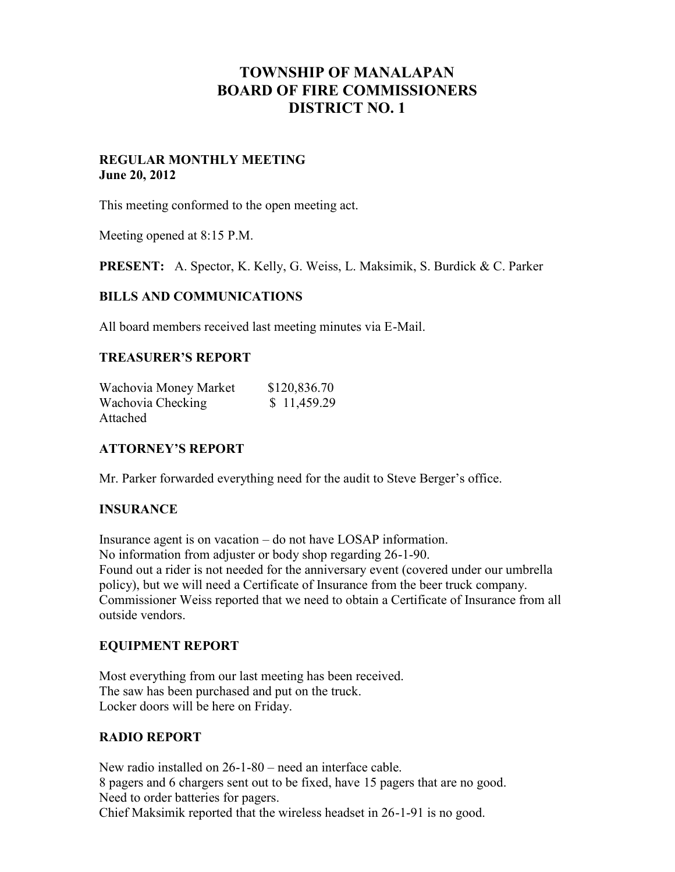# **TOWNSHIP OF MANALAPAN BOARD OF FIRE COMMISSIONERS DISTRICT NO. 1**

# **REGULAR MONTHLY MEETING June 20, 2012**

This meeting conformed to the open meeting act.

Meeting opened at 8:15 P.M.

**PRESENT:** A. Spector, K. Kelly, G. Weiss, L. Maksimik, S. Burdick & C. Parker

#### **BILLS AND COMMUNICATIONS**

All board members received last meeting minutes via E-Mail.

# **TREASURER'S REPORT**

| Wachovia Money Market | \$120,836.70 |
|-----------------------|--------------|
| Wachovia Checking     | \$11,459.29  |
| Attached              |              |

# **ATTORNEY'S REPORT**

Mr. Parker forwarded everything need for the audit to Steve Berger's office.

#### **INSURANCE**

Insurance agent is on vacation – do not have LOSAP information. No information from adjuster or body shop regarding 26-1-90. Found out a rider is not needed for the anniversary event (covered under our umbrella policy), but we will need a Certificate of Insurance from the beer truck company. Commissioner Weiss reported that we need to obtain a Certificate of Insurance from all outside vendors.

#### **EQUIPMENT REPORT**

Most everything from our last meeting has been received. The saw has been purchased and put on the truck. Locker doors will be here on Friday.

#### **RADIO REPORT**

New radio installed on 26-1-80 – need an interface cable. 8 pagers and 6 chargers sent out to be fixed, have 15 pagers that are no good. Need to order batteries for pagers. Chief Maksimik reported that the wireless headset in 26-1-91 is no good.